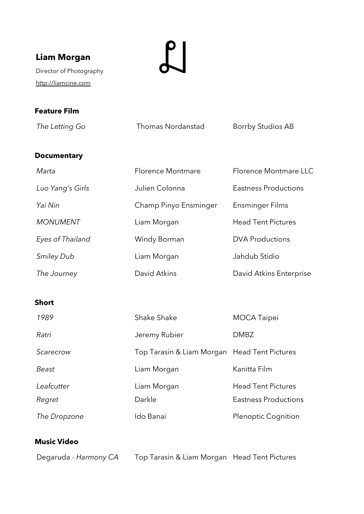# **Liam Morgan**

Director of Photography [http://liamcine.com](http://liamcine.com/)

 $\mathbb{Z}$ 

## **Feature Film**

The Letting Go **Thomas Nordanstad** Borrby Studios AB

## **Documentary**

| Marta             | Florence Montmare     | Florence Montmare LLC       |
|-------------------|-----------------------|-----------------------------|
| Luo Yang's Girls  | Julien Colonna        | <b>Eastness Productions</b> |
| Yai Nin           | Champ Pinyo Ensminger | Ensminger Films             |
| <b>MONUMENT</b>   | Liam Morgan           | <b>Head Tent Pictures</b>   |
| Eyes of Thailand  | Windy Borman          | <b>DVA Productions</b>      |
| <b>Smiley Dub</b> | Liam Morgan           | Jahdub Stidio               |
| The Journey       | David Atkins          | David Atkins Enterprise     |

#### **Short**

| 1989         | Shake Shake                                  | <b>MOCA Taipei</b>         |
|--------------|----------------------------------------------|----------------------------|
| Ratri        | Jeremy Rubier                                | <b>DMBZ</b>                |
| Scarecrow    | Top Tarasin & Liam Morgan Head Tent Pictures |                            |
| Beast        | Liam Morgan                                  | Kanitta Film               |
| Leafcutter   | Liam Morgan                                  | <b>Head Tent Pictures</b>  |
| Regret       | Darkle                                       | Eastness Productions       |
| The Dropzone | Ido Banai                                    | <b>Plenoptic Cognition</b> |

## **Music Video**

Degaruda - *Harmony CA* Top Tarasin & Liam Morgan Head Tent Pictures